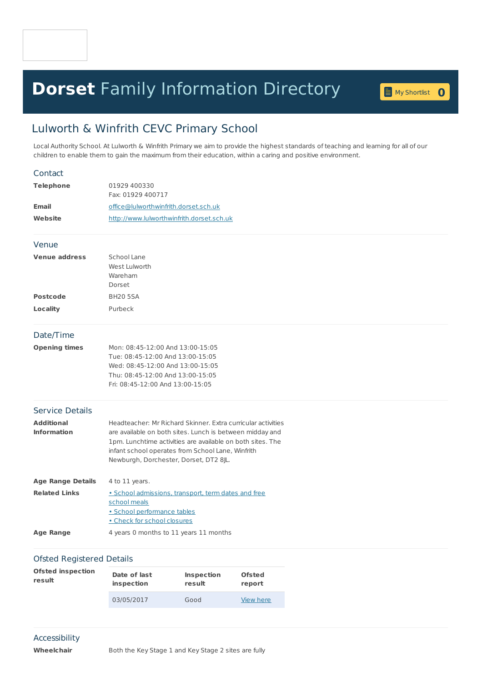## **Dorset** Family [Information](home.page) Directory **<sup>0</sup>**

## Lulworth & Winfrith CEVC Primary School

Local Authority School. At Lulworth & Winfrith Primary we aim to provide the highest standards of teaching and learning for all of our children to enable them to gain the maximum from their education, within a caring and positive environment.

| Contact                                 |                                                                                                                                                                                                                                                                                       |
|-----------------------------------------|---------------------------------------------------------------------------------------------------------------------------------------------------------------------------------------------------------------------------------------------------------------------------------------|
| <b>Telephone</b>                        | 01929 400330                                                                                                                                                                                                                                                                          |
|                                         | Fax: 01929 400717                                                                                                                                                                                                                                                                     |
| <b>Email</b>                            | office@lulworthwinfrith.dorset.sch.uk                                                                                                                                                                                                                                                 |
| Website                                 | http://www.lulworthwinfrith.dorset.sch.uk                                                                                                                                                                                                                                             |
| Venue                                   |                                                                                                                                                                                                                                                                                       |
| <b>Venue address</b>                    | School Lane<br>West Lulworth<br>Wareham<br>Dorset                                                                                                                                                                                                                                     |
| <b>Postcode</b>                         | <b>BH20 5SA</b>                                                                                                                                                                                                                                                                       |
| Locality                                | Purbeck                                                                                                                                                                                                                                                                               |
| Date/Time                               |                                                                                                                                                                                                                                                                                       |
| <b>Opening times</b>                    | Mon: 08:45-12:00 And 13:00-15:05<br>Tue: 08:45-12:00 And 13:00-15:05<br>Wed: 08:45-12:00 And 13:00-15:05<br>Thu: 08:45-12:00 And 13:00-15:05<br>Fri: 08:45-12:00 And 13:00-15:05                                                                                                      |
| Service Details                         |                                                                                                                                                                                                                                                                                       |
| <b>Additional</b><br><b>Information</b> | Headteacher: Mr Richard Skinner, Extra curricular activities<br>are available on both sites. Lunch is between midday and<br>1pm. Lunchtime activities are available on both sites. The<br>infant school operates from School Lane, Winfrith<br>Newburgh, Dorchester, Dorset, DT2 8JL. |
| <b>Age Range Details</b>                | 4 to 11 years.                                                                                                                                                                                                                                                                        |
| <b>Related Links</b>                    | • School admissions, transport, term dates and free<br>school meals<br>· School performance tables<br>. Check for school closures                                                                                                                                                     |
| <b>Age Range</b>                        | 4 years 0 months to 11 years 11 months                                                                                                                                                                                                                                                |
| <b>Ofsted Registered Details</b>        |                                                                                                                                                                                                                                                                                       |
|                                         |                                                                                                                                                                                                                                                                                       |

| Ofsted inspection | Date of last | <b>Inspection</b> | <b>Ofsted</b> |
|-------------------|--------------|-------------------|---------------|
| result            | inspection   | result            | report        |
|                   | 03/05/2017   | Good              | View here     |

## Accessibility